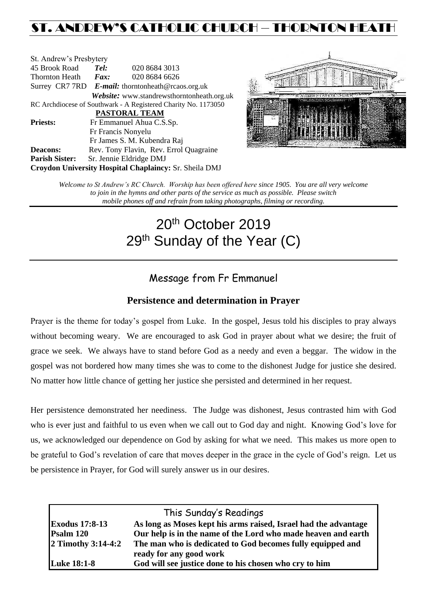# ST. ANDREW'S CATHOLIC CHURCH – THORNTON HEAT

| St. Andrew's Presbytery |                                                   |                                                                |  |  |  |
|-------------------------|---------------------------------------------------|----------------------------------------------------------------|--|--|--|
| 45 Brook Road           | Tel:                                              | 020 8684 3013                                                  |  |  |  |
| Thornton Heath          | Fax:                                              | 020 8684 6626                                                  |  |  |  |
|                         | Surrey CR7 7RD E-mail: thorntonheath@rcaos.org.uk |                                                                |  |  |  |
|                         |                                                   | Website: www.standrewsthorntonheath.org.uk                     |  |  |  |
|                         |                                                   | RC Archdiocese of Southwark - A Registered Charity No. 1173050 |  |  |  |
| <b>PASTORAL TEAM</b>    |                                                   |                                                                |  |  |  |
| <b>Priests:</b>         |                                                   | Fr Emmanuel Ahua C.S.Sp.                                       |  |  |  |
| Fr Francis Nonyelu      |                                                   |                                                                |  |  |  |
|                         |                                                   | Fr James S. M. Kubendra Raj                                    |  |  |  |
| <b>Deacons:</b>         |                                                   | Rev. Tony Flavin, Rev. Errol Quagraine                         |  |  |  |
| <b>Parish Sister:</b>   |                                                   | Sr. Jennie Eldridge DMJ                                        |  |  |  |
|                         |                                                   | Croydon University Hospital Chaplaincy: Sr. Sheila DMJ         |  |  |  |



*Welcome to St Andrew's RC Church. Worship has been offered here since 1905. You are all very welcome to join in the hymns and other parts of the service as much as possible. Please switch mobile phones off and refrain from taking photographs, filming or recording.*

# 20<sup>th</sup> October 2019 29<sup>th</sup> Sunday of the Year (C)

# Message from Fr Emmanuel

# **Persistence and determination in Prayer**

Prayer is the theme for today's gospel from Luke. In the gospel, Jesus told his disciples to pray always without becoming weary. We are encouraged to ask God in prayer about what we desire; the fruit of grace we seek. We always have to stand before God as a needy and even a beggar. The widow in the gospel was not bordered how many times she was to come to the dishonest Judge for justice she desired. No matter how little chance of getting her justice she persisted and determined in her request.

Her persistence demonstrated her neediness. The Judge was dishonest, Jesus contrasted him with God who is ever just and faithful to us even when we call out to God day and night. Knowing God's love for us, we acknowledged our dependence on God by asking for what we need. This makes us more open to be grateful to God's revelation of care that moves deeper in the grace in the cycle of God's reign. Let us be persistence in Prayer, for God will surely answer us in our desires.

| This Sunday's Readings |                                                                 |  |  |
|------------------------|-----------------------------------------------------------------|--|--|
| <b>Exodus 17:8-13</b>  | As long as Moses kept his arms raised, Israel had the advantage |  |  |
| Psalm 120              | Our help is in the name of the Lord who made heaven and earth   |  |  |
| $2$ Timothy 3:14-4:2   | The man who is dedicated to God becomes fully equipped and      |  |  |
|                        | ready for any good work                                         |  |  |
| <b>Luke 18:1-8</b>     | God will see justice done to his chosen who cry to him          |  |  |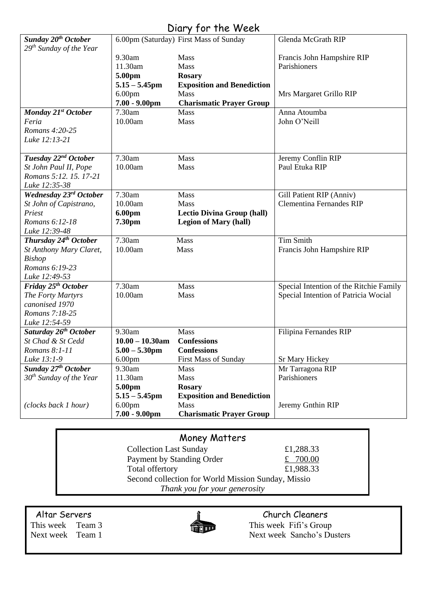# Diary for the Week

| Sunday 20 <sup>th</sup> October     |                    | 6.00pm (Saturday) First Mass of Sunday | Glenda McGrath RIP                         |
|-------------------------------------|--------------------|----------------------------------------|--------------------------------------------|
| 29 <sup>th</sup> Sunday of the Year | 9.30am             | Mass                                   |                                            |
|                                     | 11.30am            | Mass                                   | Francis John Hampshire RIP<br>Parishioners |
|                                     | 5.00pm             | <b>Rosary</b>                          |                                            |
|                                     | $5.15 - 5.45$ pm   | <b>Exposition and Benediction</b>      |                                            |
|                                     | 6.00 <sub>pm</sub> | Mass                                   | Mrs Margaret Grillo RIP                    |
|                                     | $7.00 - 9.00$ pm   | <b>Charismatic Prayer Group</b>        |                                            |
| Monday 21 <sup>st</sup> October     | 7.30am             | <b>Mass</b>                            | Anna Atoumba                               |
| Feria                               | 10.00am            | Mass                                   | John O'Neill                               |
| Romans 4:20-25                      |                    |                                        |                                            |
| Luke 12:13-21                       |                    |                                        |                                            |
|                                     |                    |                                        |                                            |
| Tuesday 22 <sup>nd</sup> October    | 7.30am             | Mass                                   | Jeremy Conflin RIP                         |
| St John Paul II, Pope               | 10.00am            | Mass                                   | Paul Etuka RIP                             |
| Romans 5:12. 15. 17-21              |                    |                                        |                                            |
| Luke 12:35-38                       |                    |                                        |                                            |
| Wednesday 23rd October              | 7.30am             | Mass                                   | Gill Patient RIP (Anniv)                   |
| St John of Capistrano,              | 10.00am            | Mass                                   | <b>Clementina Fernandes RIP</b>            |
| Priest                              | 6.00pm             | <b>Lectio Divina Group (hall)</b>      |                                            |
| Romans 6:12-18                      | 7.30pm             | <b>Legion of Mary (hall)</b>           |                                            |
| Luke 12:39-48                       |                    |                                        |                                            |
| Thursday 24 <sup>th</sup> October   | 7.30am             | Mass                                   | <b>Tim Smith</b>                           |
| St Anthony Mary Claret,             | 10.00am            | Mass                                   | Francis John Hampshire RIP                 |
| <b>Bishop</b>                       |                    |                                        |                                            |
| Romans 6:19-23                      |                    |                                        |                                            |
| Luke 12:49-53                       |                    |                                        |                                            |
| Friday 25 <sup>th</sup> October     | 7.30am             | Mass                                   | Special Intention of the Ritchie Family    |
| The Forty Martyrs                   | 10.00am            | Mass                                   | Special Intention of Patricia Wocial       |
| canonised 1970                      |                    |                                        |                                            |
| Romans 7:18-25                      |                    |                                        |                                            |
| Luke 12:54-59                       |                    |                                        |                                            |
| Saturday 26 <sup>th</sup> October   | 9.30am             | Mass                                   | Filipina Fernandes RIP                     |
| St Chad & St Cedd                   | $10.00 - 10.30$ am | <b>Confessions</b>                     |                                            |
| Romans 8:1-11                       | $5.00 - 5.30$ pm   | <b>Confessions</b>                     |                                            |
| Luke 13:1-9                         | 6.00 <sub>pm</sub> | <b>First Mass of Sunday</b>            | Sr Mary Hickey                             |
| Sunday 27 <sup>th</sup> October     | 9.30am             | Mass                                   | Mr Tarragona RIP                           |
| $30th$ Sunday of the Year           | 11.30am            | Mass                                   | Parishioners                               |
|                                     | 5.00pm             | <b>Rosary</b>                          |                                            |
|                                     | $5.15 - 5.45$ pm   | <b>Exposition and Benediction</b>      |                                            |
| (clocks back 1 hour)                | 6.00 <sub>pm</sub> | Mass                                   | Jeremy Gnthin RIP                          |
|                                     | $7.00 - 9.00$ pm   | <b>Charismatic Prayer Group</b>        |                                            |

# Money Matters

| <b>Collection Last Sunday</b>                      | £1,288.33  |  |  |  |
|----------------------------------------------------|------------|--|--|--|
| Payment by Standing Order                          | £ $700.00$ |  |  |  |
| Total offertory                                    | £1,988.33  |  |  |  |
| Second collection for World Mission Sunday, Missio |            |  |  |  |
| Thank you for your generosity                      |            |  |  |  |



Altar Servers<br>
This week Team 3<br>
This week Fifi's Group This week Team 3 This week Fifi's Group<br>Next week Team 1 Next week Sancho's Du Next week Sancho's Dusters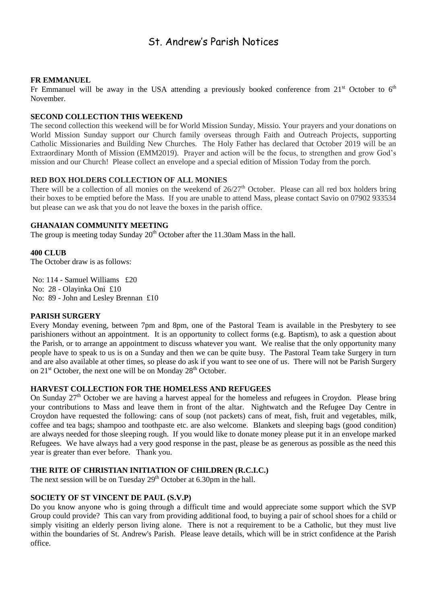# St. Andrew's Parish Notices

#### **FR EMMANUEL**

Fr Emmanuel will be away in the USA attending a previously booked conference from  $21<sup>st</sup>$  October to  $6<sup>th</sup>$ November.

#### **SECOND COLLECTION THIS WEEKEND**

The second collection this weekend will be for World Mission Sunday, Missio. Your prayers and your donations on World Mission Sunday support our Church family overseas through Faith and Outreach Projects, supporting Catholic Missionaries and Building New Churches. The Holy Father has declared that October 2019 will be an Extraordinary Month of Mission (EMM2019). Prayer and action will be the focus, to strengthen and grow God's mission and our Church! Please collect an envelope and a special edition of Mission Today from the porch.

# **RED BOX HOLDERS COLLECTION OF ALL MONIES**

There will be a collection of all monies on the weekend of  $26/27<sup>th</sup>$  October. Please can all red box holders bring their boxes to be emptied before the Mass. If you are unable to attend Mass, please contact Savio on 07902 933534 but please can we ask that you do not leave the boxes in the parish office.

# **GHANAIAN COMMUNITY MEETING**

The group is meeting today Sunday  $20<sup>th</sup>$  October after the 11.30am Mass in the hall.

#### **400 CLUB**

The October draw is as follows:

No: 114 - Samuel Williams £20 No: 28 - Olayinka Oni £10 No: 89 - John and Lesley Brennan £10

# **PARISH SURGERY**

Every Monday evening, between 7pm and 8pm, one of the Pastoral Team is available in the Presbytery to see parishioners without an appointment. It is an opportunity to collect forms (e.g. Baptism), to ask a question about the Parish, or to arrange an appointment to discuss whatever you want. We realise that the only opportunity many people have to speak to us is on a Sunday and then we can be quite busy. The Pastoral Team take Surgery in turn and are also available at other times, so please do ask if you want to see one of us. There will not be Parish Surgery on  $21<sup>st</sup>$  October, the next one will be on Monday  $28<sup>th</sup>$  October.

# **HARVEST COLLECTION FOR THE HOMELESS AND REFUGEES**

On Sunday 27<sup>th</sup> October we are having a harvest appeal for the homeless and refugees in Croydon. Please bring your contributions to Mass and leave them in front of the altar. Nightwatch and the Refugee Day Centre in Croydon have requested the following: cans of soup (not packets) cans of meat, fish, fruit and vegetables, milk, coffee and tea bags; shampoo and toothpaste etc. are also welcome. Blankets and sleeping bags (good condition) are always needed for those sleeping rough. If you would like to donate money please put it in an envelope marked Refugees. We have always had a very good response in the past, please be as generous as possible as the need this year is greater than ever before. Thank you.

# **THE RITE OF CHRISTIAN INITIATION OF CHILDREN (R.C.I.C.)**

The next session will be on Tuesday  $29<sup>th</sup>$  October at 6.30pm in the hall.

# **SOCIETY OF ST VINCENT DE PAUL (S.V.P)**

Do you know anyone who is going through a difficult time and would appreciate some support which the SVP Group could provide? This can vary from providing additional food, to buying a pair of school shoes for a child or simply visiting an elderly person living alone. There is not a requirement to be a Catholic, but they must live within the boundaries of St. Andrew's Parish. Please leave details, which will be in strict confidence at the Parish office.